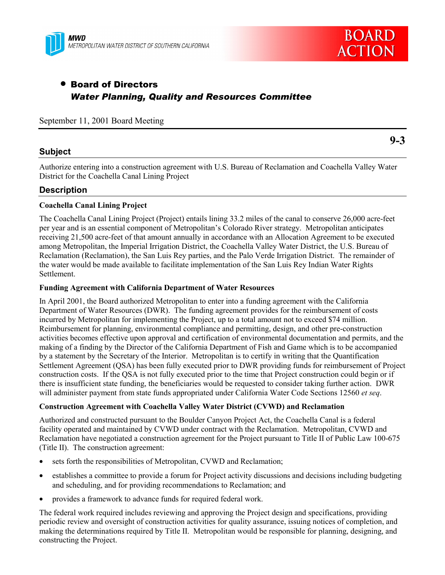



# • Board of Directors *Water Planning, Quality and Resources Committee*

September 11, 2001 Board Meeting

### **Subject**

**9-3**

Authorize entering into a construction agreement with U.S. Bureau of Reclamation and Coachella Valley Water District for the Coachella Canal Lining Project

### **Description**

#### **Coachella Canal Lining Project**

The Coachella Canal Lining Project (Project) entails lining 33.2 miles of the canal to conserve 26,000 acre-feet per year and is an essential component of Metropolitanís Colorado River strategy. Metropolitan anticipates receiving 21,500 acre-feet of that amount annually in accordance with an Allocation Agreement to be executed among Metropolitan, the Imperial Irrigation District, the Coachella Valley Water District, the U.S. Bureau of Reclamation (Reclamation), the San Luis Rey parties, and the Palo Verde Irrigation District. The remainder of the water would be made available to facilitate implementation of the San Luis Rey Indian Water Rights Settlement.

#### **Funding Agreement with California Department of Water Resources**

In April 2001, the Board authorized Metropolitan to enter into a funding agreement with the California Department of Water Resources (DWR). The funding agreement provides for the reimbursement of costs incurred by Metropolitan for implementing the Project, up to a total amount not to exceed \$74 million. Reimbursement for planning, environmental compliance and permitting, design, and other pre-construction activities becomes effective upon approval and certification of environmental documentation and permits, and the making of a finding by the Director of the California Department of Fish and Game which is to be accompanied by a statement by the Secretary of the Interior. Metropolitan is to certify in writing that the Quantification Settlement Agreement (QSA) has been fully executed prior to DWR providing funds for reimbursement of Project construction costs. If the QSA is not fully executed prior to the time that Project construction could begin or if there is insufficient state funding, the beneficiaries would be requested to consider taking further action. DWR will administer payment from state funds appropriated under California Water Code Sections 12560 *et seq*.

#### **Construction Agreement with Coachella Valley Water District (CVWD) and Reclamation**

Authorized and constructed pursuant to the Boulder Canyon Project Act, the Coachella Canal is a federal facility operated and maintained by CVWD under contract with the Reclamation. Metropolitan, CVWD and Reclamation have negotiated a construction agreement for the Project pursuant to Title II of Public Law 100-675 (Title II). The construction agreement:

- sets forth the responsibilities of Metropolitan, CVWD and Reclamation;
- establishes a committee to provide a forum for Project activity discussions and decisions including budgeting and scheduling, and for providing recommendations to Reclamation; and
- provides a framework to advance funds for required federal work.

The federal work required includes reviewing and approving the Project design and specifications, providing periodic review and oversight of construction activities for quality assurance, issuing notices of completion, and making the determinations required by Title II. Metropolitan would be responsible for planning, designing, and constructing the Project.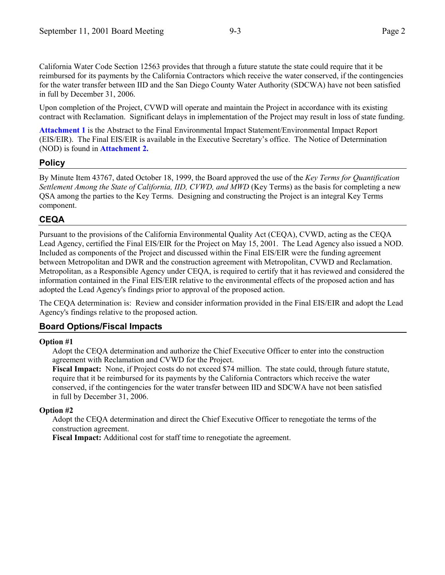California Water Code Section 12563 provides that through a future statute the state could require that it be reimbursed for its payments by the California Contractors which receive the water conserved, if the contingencies for the water transfer between IID and the San Diego County Water Authority (SDCWA) have not been satisfied in full by December 31, 2006.

Upon completion of the Project, CVWD will operate and maintain the Project in accordance with its existing contract with Reclamation. Significant delays in implementation of the Project may result in loss of state funding.

**Attachment 1** is the Abstract to the Final Environmental Impact Statement/Environmental Impact Report (EIS/EIR). The Final EIS/EIR is available in the Executive Secretaryís office. The Notice of Determination (NOD) is found in **Attachment 2.**

### **Policy**

By Minute Item 43767, dated October 18, 1999, the Board approved the use of the *Key Terms for Quantification Settlement Among the State of California, IID, CVWD, and MWD* (Key Terms) as the basis for completing a new QSA among the parties to the Key Terms. Designing and constructing the Project is an integral Key Terms component.

## **CEQA**

Pursuant to the provisions of the California Environmental Quality Act (CEQA), CVWD, acting as the CEQA Lead Agency, certified the Final EIS/EIR for the Project on May 15, 2001. The Lead Agency also issued a NOD. Included as components of the Project and discussed within the Final EIS/EIR were the funding agreement between Metropolitan and DWR and the construction agreement with Metropolitan, CVWD and Reclamation. Metropolitan, as a Responsible Agency under CEQA, is required to certify that it has reviewed and considered the information contained in the Final EIS/EIR relative to the environmental effects of the proposed action and has adopted the Lead Agency's findings prior to approval of the proposed action.

The CEQA determination is: Review and consider information provided in the Final EIS/EIR and adopt the Lead Agency's findings relative to the proposed action.

## **Board Options/Fiscal Impacts**

#### **Option #1**

Adopt the CEQA determination and authorize the Chief Executive Officer to enter into the construction agreement with Reclamation and CVWD for the Project.

**Fiscal Impact:** None, if Project costs do not exceed \$74 million. The state could, through future statute, require that it be reimbursed for its payments by the California Contractors which receive the water conserved, if the contingencies for the water transfer between IID and SDCWA have not been satisfied in full by December 31, 2006.

#### **Option #2**

Adopt the CEQA determination and direct the Chief Executive Officer to renegotiate the terms of the construction agreement.

**Fiscal Impact:** Additional cost for staff time to renegotiate the agreement.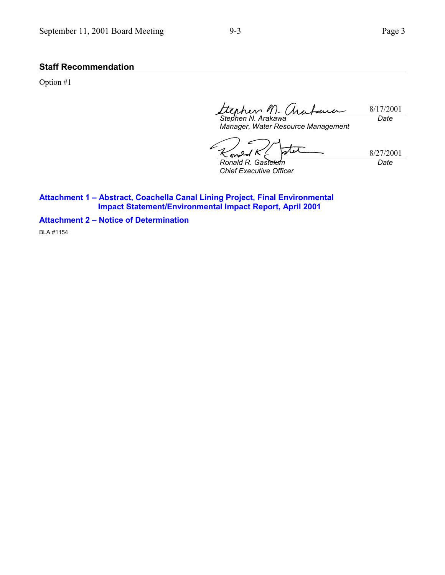### **Staff Recommendation**

Option #1

8/17/2001 nhers 1 *Date Stephen N. Arakawa*

*Manager, Water Resource Management*

77 8/27/2001 Ō A *Ronald R. Gastelum Date*

*Chief Executive Officer*

**Attachment 1 - Abstract, Coachella Canal Lining Project, Final Environmental Impact Statement/Environmental Impact Report, April 2001**

**Attachment 2 - Notice of Determination** 

BLA #1154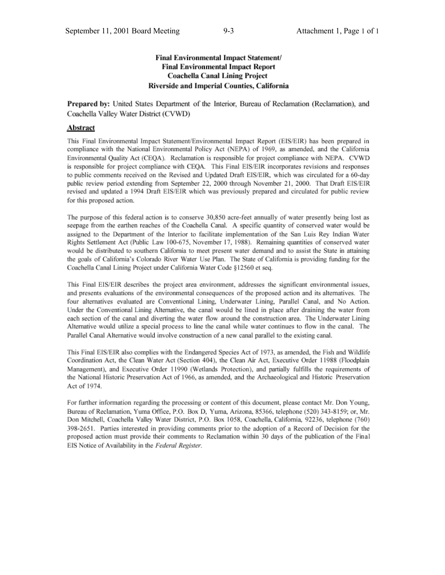#### Final Environmental Impact Statement/ **Final Environmental Impact Report Coachella Canal Lining Project** Riverside and Imperial Counties, California

Prepared by: United States Department of the Interior, Bureau of Reclamation (Reclamation), and Coachella Valley Water District (CVWD)

#### Abstract

This Final Environmental Impact Statement/Environmental Impact Report (EIS/EIR) has been prepared in compliance with the National Environmental Policy Act (NEPA) of 1969, as amended, and the California Environmental Quality Act (CEQA). Reclamation is responsible for project compliance with NEPA. CVWD is responsible for project compliance with CEQA. This Final EIS/EIR incorporates revisions and responses to public comments received on the Revised and Updated Draft EIS/EIR, which was circulated for a 60-day public review period extending from September 22, 2000 through November 21, 2000. That Draft EIS/EIR revised and updated a 1994 Draft EIS/EIR which was previously prepared and circulated for public review for this proposed action.

The purpose of this federal action is to conserve 30,850 acre-feet annually of water presently being lost as seepage from the earthen reaches of the Coachella Canal. A specific quantity of conserved water would be assigned to the Department of the Interior to facilitate implementation of the San Luis Rey Indian Water Rights Settlement Act (Public Law 100-675, November 17, 1988). Remaining quantities of conserved water would be distributed to southern California to meet present water demand and to assist the State in attaining the goals of California's Colorado River Water Use Plan. The State of California is providing funding for the Coachella Canal Lining Project under California Water Code §12560 et seq.

This Final EIS/EIR describes the project area environment, addresses the significant environmental issues, and presents evaluations of the environmental consequences of the proposed action and its alternatives. The four alternatives evaluated are Conventional Lining, Underwater Lining, Parallel Canal, and No Action. Under the Conventional Lining Alternative, the canal would be lined in place after draining the water from each section of the canal and diverting the water flow around the construction area. The Underwater Lining Alternative would utilize a special process to line the canal while water continues to flow in the canal. The Parallel Canal Alternative would involve construction of a new canal parallel to the existing canal.

This Final EIS/EIR also complies with the Endangered Species Act of 1973, as amended, the Fish and Wildlife Coordination Act, the Clean Water Act (Section 404), the Clean Air Act, Executive Order 11988 (Floodplain Management), and Executive Order 11990 (Wetlands Protection), and partially fulfills the requirements of the National Historic Preservation Act of 1966, as amended, and the Archaeological and Historic Preservation Act of 1974.

For further information regarding the processing or content of this document, please contact Mr. Don Young, Bureau of Reclamation, Yuma Office, P.O. Box D, Yuma, Arizona, 85366, telephone (520) 343-8159; or, Mr. Don Mitchell, Coachella Valley Water District, P.O. Box 1058, Coachella, California, 92236, telephone (760) 398-2651. Parties interested in providing comments prior to the adoption of a Record of Decision for the proposed action must provide their comments to Reclamation within 30 days of the publication of the Final EIS Notice of Availability in the Federal Register.